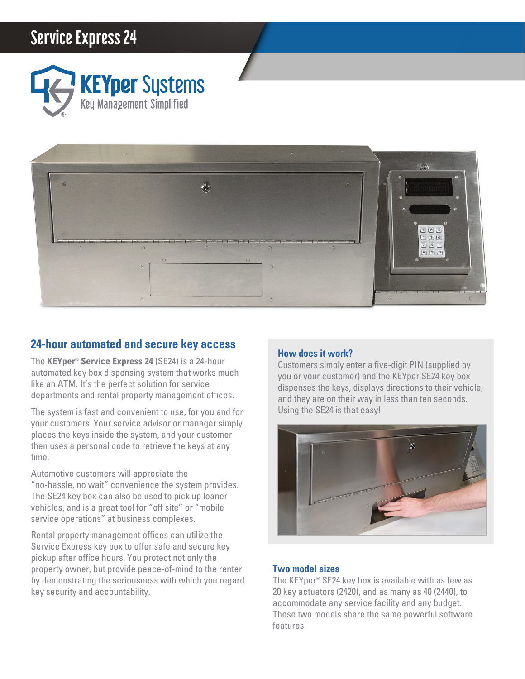# **Service Express 24**





## **24-hour automated and secure key access**

The **KEYper® Service Express 24** (SE24) is a 24-hour automated key box dispensing system that works much like an ATM. It's the perfect solution for service departments and rental property management offices.

The system is fast and convenient to use, for you and for your customers. Your service advisor or manager simply places the keys inside the system, and your customer then uses a personal code to retrieve the keys at any time.

Automotive customers will appreciate the "no-hassle, no wait" convenience the system provides. The SE24 key box can also be used to pick up loaner vehicles, and is a great tool for "off site" or "mobile service operations" at business complexes.

Rental property management offices can utilize the Service Express key box to offer safe and secure key pickup after office hours. You protect not only the property owner, but provide peace-of-mind to the renter by demonstrating the seriousness with which you regard key security and accountability.

## **How does it work?**

Customers simply enter a five-digit PIN (supplied by you or your customer) and the KEYper SE24 key box dispenses the keys, displays directions to their vehicle, and they are on their way in less than ten seconds. Using the SE24 is that easy!



### **Two model sizes**

The KEYper® SE24 key box is available with as few as 20 key actuators (2420), and as many as 40 (2440), to accommodate any service facility and any budget. These two models share the same powerful software features.